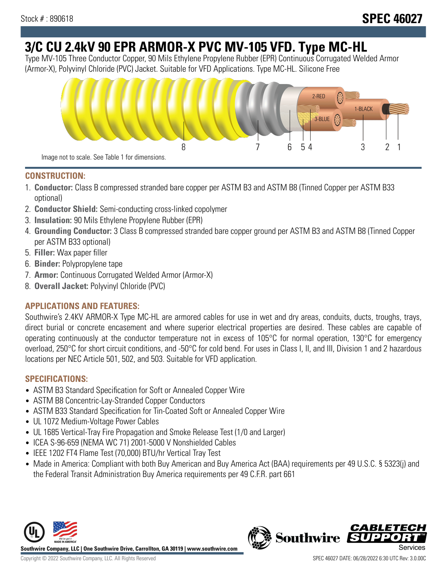# **3/C CU 2.4kV 90 EPR ARMOR-X PVC MV-105 VFD. Type MC-HL**

Type MV-105 Three Conductor Copper, 90 Mils Ethylene Propylene Rubber (EPR) Continuous Corrugated Welded Armor (Armor-X), Polyvinyl Chloride (PVC) Jacket. Suitable for VFD Applications. Type MC-HL. Silicone Free



## **CONSTRUCTION:**

- 1. **Conductor:** Class B compressed stranded bare copper per ASTM B3 and ASTM B8 (Tinned Copper per ASTM B33 optional)
- 2. **Conductor Shield:** Semi-conducting cross-linked copolymer
- 3. **Insulation:** 90 Mils Ethylene Propylene Rubber (EPR)
- 4. **Grounding Conductor:** 3 Class B compressed stranded bare copper ground per ASTM B3 and ASTM B8 (Tinned Copper per ASTM B33 optional)
- 5. **Filler:** Wax paper filler
- 6. **Binder:** Polypropylene tape
- 7. **Armor:** Continuous Corrugated Welded Armor (Armor-X)
- 8. **Overall Jacket:** Polyvinyl Chloride (PVC)

# **APPLICATIONS AND FEATURES:**

Southwire's 2.4KV ARMOR-X Type MC-HL are armored cables for use in wet and dry areas, conduits, ducts, troughs, trays, direct burial or concrete encasement and where superior electrical properties are desired. These cables are capable of operating continuously at the conductor temperature not in excess of 105°C for normal operation, 130°C for emergency overload, 250°C for short circuit conditions, and -50°C for cold bend. For uses in Class I, II, and III, Division 1 and 2 hazardous locations per NEC Article 501, 502, and 503. Suitable for VFD application.

# **SPECIFICATIONS:**

- ASTM B3 Standard Specification for Soft or Annealed Copper Wire
- ASTM B8 Concentric-Lay-Stranded Copper Conductors
- ASTM B33 Standard Specification for Tin-Coated Soft or Annealed Copper Wire
- UL 1072 Medium-Voltage Power Cables
- UL 1685 Vertical-Tray Fire Propagation and Smoke Release Test (1/0 and Larger)
- ICEA S-96-659 (NEMA WC 71) 2001-5000 V Nonshielded Cables
- IEEE 1202 FT4 Flame Test (70,000) BTU/hr Vertical Tray Test
- Made in America: Compliant with both Buy American and Buy America Act (BAA) requirements per 49 U.S.C. § 5323(j) and the Federal Transit Administration Buy America requirements per 49 C.F.R. part 661